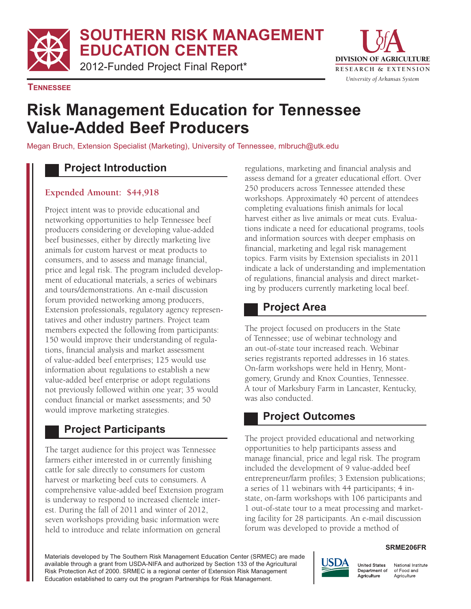**SOUTHERN RISK MANAGEMENT EDUCATION CENTER** 

2012-Funded Project Final Report\* **RESEARCH & EXTENSION** 



**TENNESSEE** 

# **Risk Management Education for Tennessee Value-Added Beef Producers**

Megan Bruch, Extension Specialist (Marketing), University of Tennessee, mlbruch@utk.edu

### **Project Introduction**

#### **Expended Amount: \$44,918**

Project intent was to provide educational and networking opportunities to help Tennessee beef producers considering or developing value-added beef businesses, either by directly marketing live animals for custom harvest or meat products to consumers, and to assess and manage financial, price and legal risk. The program included development of educational materials, a series of webinars and tours/demonstrations. An e-mail discussion forum provided networking among producers, Extension professionals, regulatory agency representatives and other industry partners. Project team members expected the following from participants: 150 would improve their understanding of regulations, financial analysis and market assessment of value-added beef enterprises; 125 would use information about regulations to establish a new value-added beef enterprise or adopt regulations not previously followed within one year; 35 would conduct financial or market assessments; and 50 would improve marketing strategies.

# **Project Participants**

The target audience for this project was Tennessee farmers either interested in or currently finishing cattle for sale directly to consumers for custom harvest or marketing beef cuts to consumers. A comprehensive value-added beef Extension program is underway to respond to increased clientele interest. During the fall of 2011 and winter of 2012, seven workshops providing basic information were held to introduce and relate information on general

regulations, marketing and financial analysis and assess demand for a greater educational effort. Over 250 producers across Tennessee attended these workshops. Approximately 40 percent of attendees completing evaluations finish animals for local harvest either as live animals or meat cuts. Evaluations indicate a need for educational programs, tools and information sources with deeper emphasis on financial, marketing and legal risk management topics. Farm visits by Extension specialists in 2011 indicate a lack of understanding and implementation of regulations, financial analysis and direct marketing by producers currently marketing local beef.

### **Project Area**

The project focused on producers in the State of Tennessee; use of webinar technology and an out-of-state tour increased reach. Webinar series registrants reported addresses in 16 states. On-farm workshops were held in Henry, Montgomery, Grundy and Knox Counties, Tennessee. A tour of Marksbury Farm in Lancaster, Kentucky, was also conducted.

# **Project Outcomes**

The project provided educational and networking opportunities to help participants assess and manage financial, price and legal risk. The program included the development of 9 value-added beef entrepreneur/farm profiles; 3 Extension publications; a series of 11 webinars with 44 participants; 4 instate, on-farm workshops with 106 participants and 1 out-of-state tour to a meat processing and marketing facility for 28 participants. An e-mail discussion forum was developed to provide a method of

#### **SRME206FR**

Materials developed by The Southern Risk Management Education Center (SRMEC) are made available through a grant from USDA-NIFA and authorized by Section 133 of the Agricultural Risk Protection Act of 2000. SRMEC is a regional center of Extension Risk Management Education established to carry out the program Partnerships for Risk Management.



National Institute of Food and Agriculture